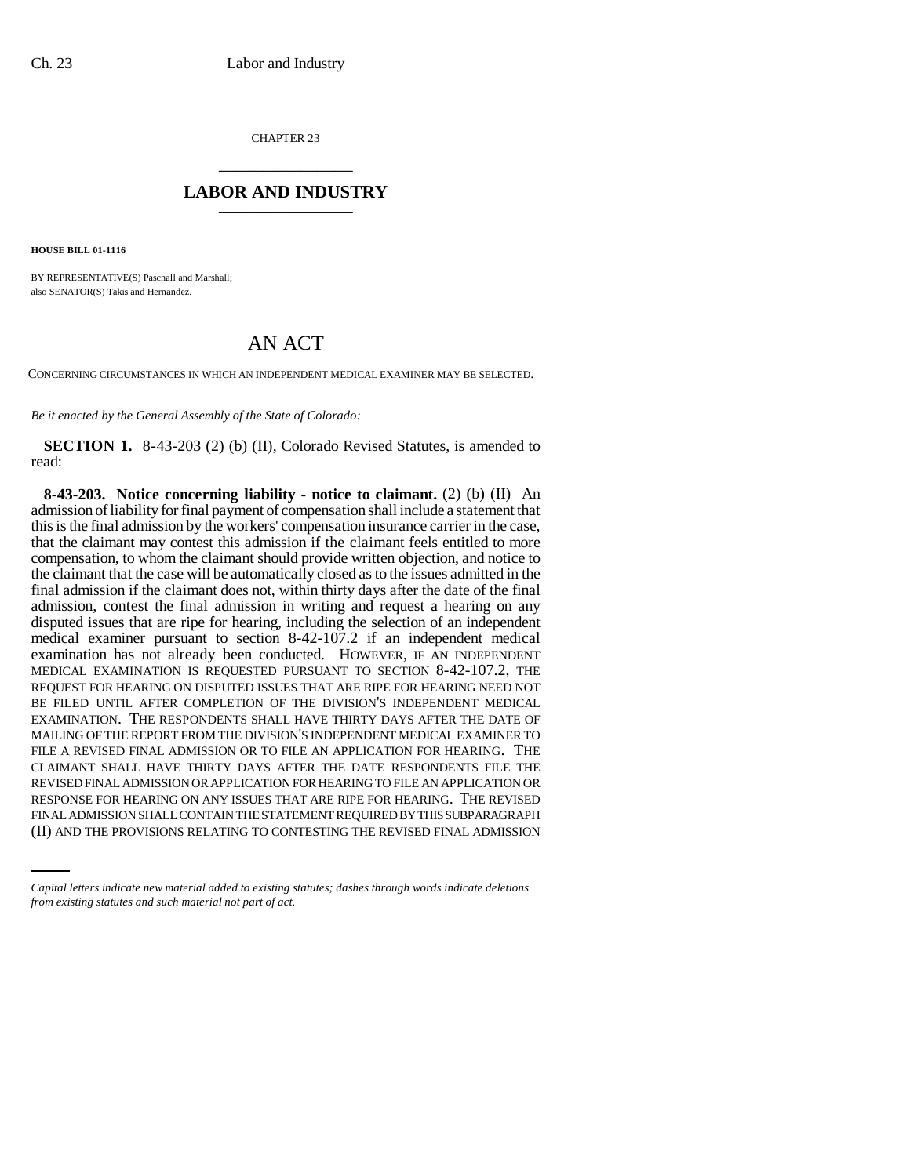CHAPTER 23 \_\_\_\_\_\_\_\_\_\_\_\_\_\_\_

## **LABOR AND INDUSTRY** \_\_\_\_\_\_\_\_\_\_\_\_\_\_\_

**HOUSE BILL 01-1116**

BY REPRESENTATIVE(S) Paschall and Marshall; also SENATOR(S) Takis and Hernandez.

## AN ACT

CONCERNING CIRCUMSTANCES IN WHICH AN INDEPENDENT MEDICAL EXAMINER MAY BE SELECTED.

*Be it enacted by the General Assembly of the State of Colorado:*

**SECTION 1.** 8-43-203 (2) (b) (II), Colorado Revised Statutes, is amended to read:

RESPONSE FOR HEARING ON ANY ISSUES THAT ARE RIPE FOR HEARING. THE REVISED **8-43-203. Notice concerning liability - notice to claimant.** (2) (b) (II) An admission of liability for final payment of compensation shall include a statement that this is the final admission by the workers' compensation insurance carrier in the case, that the claimant may contest this admission if the claimant feels entitled to more compensation, to whom the claimant should provide written objection, and notice to the claimant that the case will be automatically closed as to the issues admitted in the final admission if the claimant does not, within thirty days after the date of the final admission, contest the final admission in writing and request a hearing on any disputed issues that are ripe for hearing, including the selection of an independent medical examiner pursuant to section 8-42-107.2 if an independent medical examination has not already been conducted. HOWEVER, IF AN INDEPENDENT MEDICAL EXAMINATION IS REQUESTED PURSUANT TO SECTION 8-42-107.2, THE REQUEST FOR HEARING ON DISPUTED ISSUES THAT ARE RIPE FOR HEARING NEED NOT BE FILED UNTIL AFTER COMPLETION OF THE DIVISION'S INDEPENDENT MEDICAL EXAMINATION. THE RESPONDENTS SHALL HAVE THIRTY DAYS AFTER THE DATE OF MAILING OF THE REPORT FROM THE DIVISION'S INDEPENDENT MEDICAL EXAMINER TO FILE A REVISED FINAL ADMISSION OR TO FILE AN APPLICATION FOR HEARING. THE CLAIMANT SHALL HAVE THIRTY DAYS AFTER THE DATE RESPONDENTS FILE THE REVISED FINAL ADMISSION OR APPLICATION FOR HEARING TO FILE AN APPLICATION OR FINAL ADMISSION SHALL CONTAIN THE STATEMENT REQUIRED BY THIS SUBPARAGRAPH (II) AND THE PROVISIONS RELATING TO CONTESTING THE REVISED FINAL ADMISSION

*Capital letters indicate new material added to existing statutes; dashes through words indicate deletions from existing statutes and such material not part of act.*